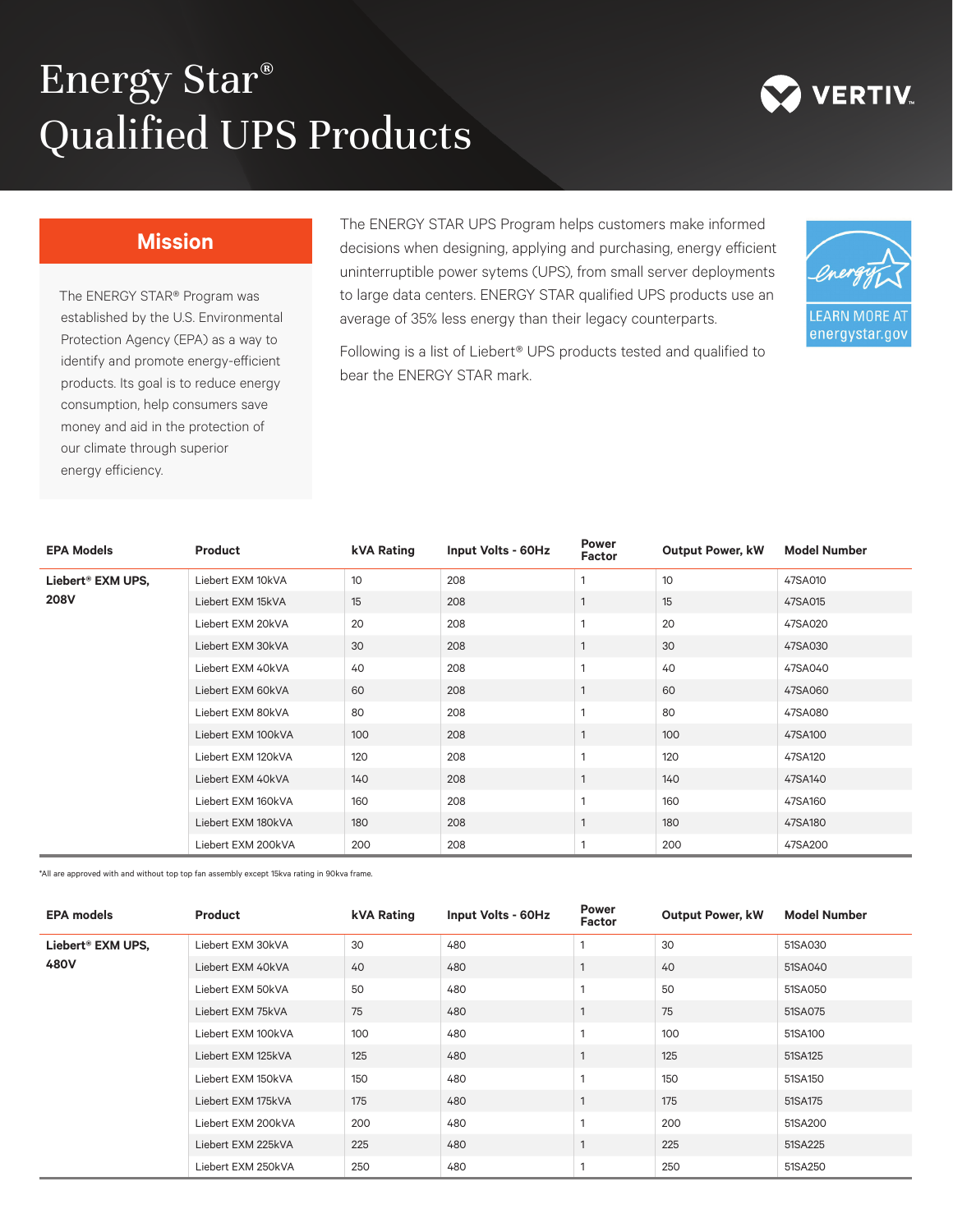## Energy Star® Qualified UPS Products



## **Mission**

The ENERGY STAR® Program was established by the U.S. Environmental Protection Agency (EPA) as a way to identify and promote energy-efficient products. Its goal is to reduce energy consumption, help consumers save money and aid in the protection of our climate through superior energy efficiency.

The ENERGY STAR UPS Program helps customers make informed decisions when designing, applying and purchasing, energy efficient uninterruptible power sytems (UPS), from small server deployments to large data centers. ENERGY STAR qualified UPS products use an average of 35% less energy than their legacy counterparts.



Following is a list of Liebert® UPS products tested and qualified to bear the ENERGY STAR mark.

| <b>EPA Models</b>                | Product            | kVA Rating | Input Volts - 60Hz | <b>Power</b><br>Factor | <b>Output Power, kW</b> | <b>Model Number</b> |
|----------------------------------|--------------------|------------|--------------------|------------------------|-------------------------|---------------------|
| Liebert® EXM UPS,<br><b>208V</b> | Liebert EXM 10kVA  | 10         | 208                | 1                      | 10                      | 47SA010             |
|                                  | Liebert EXM 15kVA  | 15         | 208                | $\mathbf{1}$           | 15                      | 47SA015             |
|                                  | Liebert EXM 20kVA  | 20         | 208                | 1                      | 20                      | 47SA020             |
|                                  | Liebert EXM 30kVA  | 30         | 208                | $\mathbf{1}$           | 30                      | 47SA030             |
|                                  | Liebert EXM 40kVA  | 40         | 208                | 1                      | 40                      | 47SA040             |
|                                  | Liebert EXM 60kVA  | 60         | 208                | $\mathbf{1}$           | 60                      | 47SA060             |
|                                  | Liebert EXM 80kVA  | 80         | 208                | 1                      | 80                      | 47SA080             |
|                                  | Liebert EXM 100kVA | 100        | 208                | $\mathbf{1}$           | 100                     | 47SA100             |
|                                  | Liebert EXM 120kVA | 120        | 208                | 1                      | 120                     | 47SA120             |
|                                  | Liebert EXM 40kVA  | 140        | 208                | $\mathbf{1}$           | 140                     | 47SA140             |
|                                  | Liebert EXM 160kVA | 160        | 208                | 1                      | 160                     | 47SA160             |
|                                  | Liebert EXM 180kVA | 180        | 208                | $\mathbf{1}$           | 180                     | 47SA180             |
|                                  | Liebert EXM 200kVA | 200        | 208                | 1                      | 200                     | 47SA200             |

\*All are approved with and without top top fan assembly except 15kva rating in 90kva frame.

| <b>EPA models</b>         | Product            | kVA Rating | Input Volts - 60Hz | <b>Power</b><br>Factor | <b>Output Power, kW</b> | <b>Model Number</b> |
|---------------------------|--------------------|------------|--------------------|------------------------|-------------------------|---------------------|
| Liebert® EXM UPS,<br>480V | Liebert EXM 30kVA  | 30         | 480                | 1                      | 30                      | 51SA030             |
|                           | Liebert EXM 40kVA  | 40         | 480                | $\mathbf{1}$           | 40                      | 51SA040             |
|                           | Liebert EXM 50kVA  | 50         | 480                | 1                      | 50                      | 51SA050             |
|                           | Liebert EXM 75kVA  | 75         | 480                | $\mathbf{1}$           | 75                      | 51SA075             |
|                           | Liebert EXM 100kVA | 100        | 480                | 1                      | 100                     | 51SA100             |
|                           | Liebert EXM 125kVA | 125        | 480                | $\mathbf{1}$           | 125                     | 51SA125             |
|                           | Liebert EXM 150kVA | 150        | 480                | 1                      | 150                     | 51SA150             |
|                           | Liebert EXM 175kVA | 175        | 480                | $\mathbf{1}$           | 175                     | 51SA175             |
|                           | Liebert EXM 200kVA | 200        | 480                | 1                      | 200                     | 51SA200             |
|                           | Liebert EXM 225kVA | 225        | 480                | $\mathbf{1}$           | 225                     | 51SA225             |
|                           | Liebert EXM 250kVA | 250        | 480                |                        | 250                     | 51SA250             |